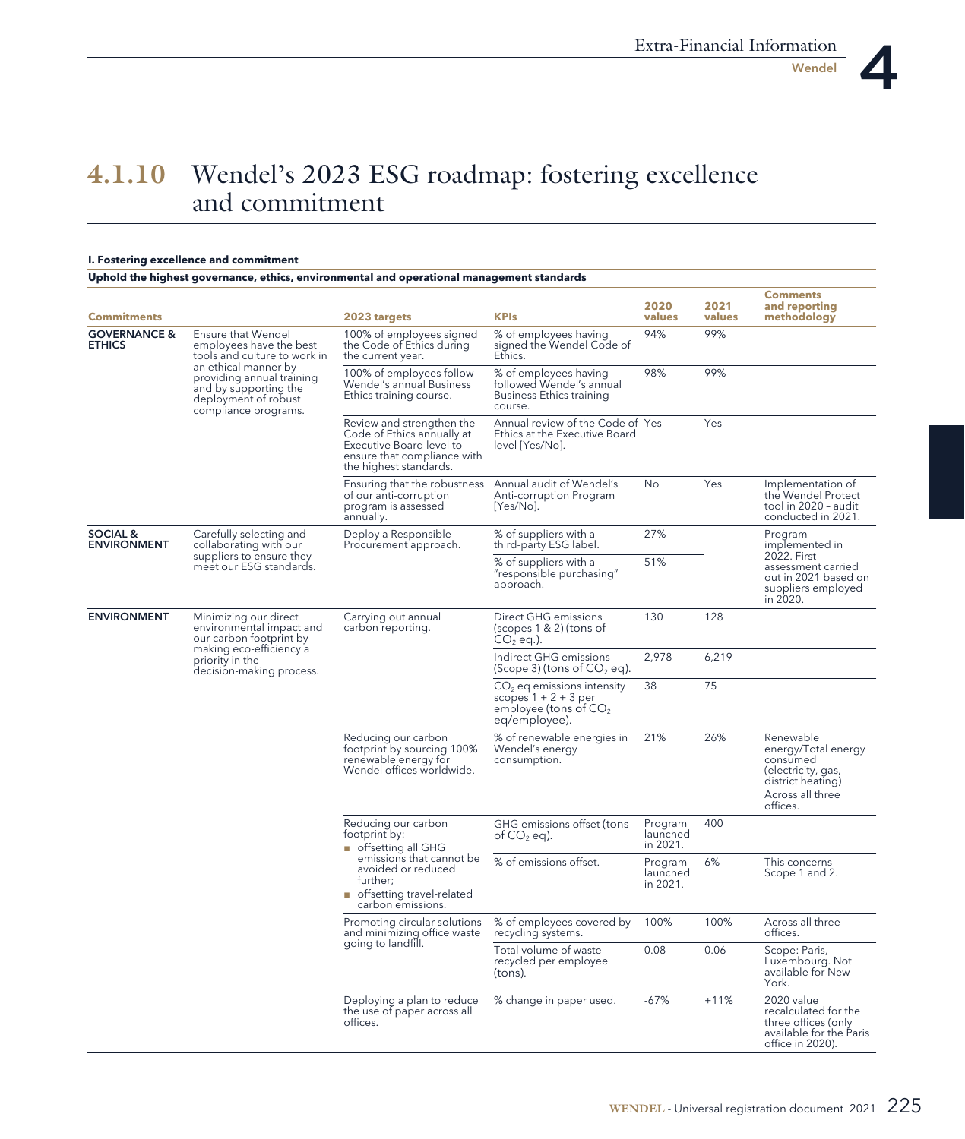## **--**Wendel's 2023 ESG roadmap: fostering excellence and commitment

## **I. Fostering excellence and commitment**

**Uphold the highest governance, ethics, environmental and operational management standards**

| <b>Commitments</b>                        |                                                                                                                                                                                                             | 2023 targets                                                                                                                                                               | <b>KPIs</b>                                                                                        | 2020<br>values                  | 2021<br>values | <b>Comments</b><br>and reporting<br>methodology                                                                         |
|-------------------------------------------|-------------------------------------------------------------------------------------------------------------------------------------------------------------------------------------------------------------|----------------------------------------------------------------------------------------------------------------------------------------------------------------------------|----------------------------------------------------------------------------------------------------|---------------------------------|----------------|-------------------------------------------------------------------------------------------------------------------------|
| <b>GOVERNANCE &amp;</b><br><b>ETHICS</b>  | Ensure that Wendel<br>employees have the best<br>tools and culture to work in<br>an ethical manner by<br>providing annual training<br>and by supporting the<br>deployment of robust<br>compliance programs. | 100% of employees signed<br>the Code of Ethics during<br>the current year.                                                                                                 | % of employees having<br>signed the Wendel Code of<br>Ethics.                                      | 94%                             | 99%            |                                                                                                                         |
|                                           |                                                                                                                                                                                                             | 100% of employees follow<br>Wendel's annual Business<br>Ethics training course.                                                                                            | % of employees having<br>followed Wendel's annual<br><b>Business Ethics training</b><br>course.    | 98%                             | 99%            |                                                                                                                         |
|                                           |                                                                                                                                                                                                             | Review and strengthen the<br>Code of Ethics annually at<br>Executive Board level to<br>ensure that compliance with<br>the highest standards.                               | Annual review of the Code of Yes<br>Ethics at the Executive Board<br>level [Yes/No].               |                                 | Yes            |                                                                                                                         |
|                                           |                                                                                                                                                                                                             | Ensuring that the robustness<br>of our anti-corruption<br>program is assessed<br>annually.                                                                                 | Annual audit of Wendel's<br>Anti-corruption Program<br>$[Yes/No]$ .                                | No                              | Yes            | Implementation of<br>the Wendel Protect<br>tool in 2020 - audit<br>conducted in 2021.                                   |
| <b>SOCIAL &amp;</b><br><b>ENVIRONMENT</b> | Carefully selecting and<br>collaborating with our                                                                                                                                                           | Deploy a Responsible<br>Procurement approach.                                                                                                                              | % of suppliers with a<br>third-party ESG label.                                                    | 27%                             |                | Program<br>implemented in                                                                                               |
|                                           | suppliers to ensure they<br>meet our ESG standards.                                                                                                                                                         |                                                                                                                                                                            | % of suppliers with a<br>"responsible purchasing"<br>approach.                                     | 51%                             |                | 2022. First<br>assessment carried<br>out in 2021 based on<br>suppliers employed<br>in 2020.                             |
| <b>ENVIRONMENT</b>                        | Minimizing our direct<br>environmental impact and<br>our carbon footprint by<br>making eco-efficiency a<br>priority in the<br>decision-making process.                                                      | Carrying out annual<br>carbon reporting.                                                                                                                                   | Direct GHG emissions<br>$(s$ copes 1 & 2) (tons of<br>$CO2$ eq.).                                  | 130                             | 128            |                                                                                                                         |
|                                           |                                                                                                                                                                                                             |                                                                                                                                                                            | Indirect GHG emissions<br>(Scope 3) (tons of $CO2$ eq).                                            | 2,978                           | 6,219          |                                                                                                                         |
|                                           |                                                                                                                                                                                                             |                                                                                                                                                                            | $CO2$ eq emissions intensity<br>scopes $1 + 2 + 3$ per<br>employee (tons of $CO2$<br>eq/employee). | 38                              | 75             |                                                                                                                         |
|                                           |                                                                                                                                                                                                             | Reducing our carbon<br>footprint by sourcing 100%<br>renewable energy for<br>Wendel offices worldwide.                                                                     | % of renewable energies in<br>Wendel's energy<br>consumption.                                      | 21%                             | 26%            | Renewable<br>energy/Total energy<br>consumed<br>(electricity, gas,<br>district heating)<br>Across all three<br>offices. |
|                                           |                                                                                                                                                                                                             | Reducing our carbon<br>footprint by:<br>offsetting all GHG<br>emissions that cannot be<br>avoided or reduced<br>further;<br>offsetting travel-related<br>carbon emissions. | GHG emissions offset (tons<br>of $CO2$ eq).                                                        | Program<br>launched<br>in 2021. | 400            |                                                                                                                         |
|                                           |                                                                                                                                                                                                             |                                                                                                                                                                            | % of emissions offset.                                                                             | Program<br>launched<br>in 2021. | 6%             | This concerns<br>Scope 1 and 2.                                                                                         |
|                                           |                                                                                                                                                                                                             | Promoting circular solutions<br>and minimizing office waste                                                                                                                | % of employees covered by<br>recycling systems.                                                    | 100%                            | 100%           | Across all three<br>offices.                                                                                            |
|                                           |                                                                                                                                                                                                             | going to landfill.                                                                                                                                                         | Total volume of waste<br>recycled per employee<br>(tons).                                          | 0.08                            | 0.06           | Scope: Paris,<br>Luxembourg. Not<br>available for New<br>York.                                                          |
|                                           |                                                                                                                                                                                                             | Deploying a plan to reduce<br>the use of paper across all<br>offices.                                                                                                      | % change in paper used.                                                                            | -67%                            | $+11%$         | 2020 value<br>recalculated for the<br>three offices (only<br>available for the Paris<br>office in 2020).                |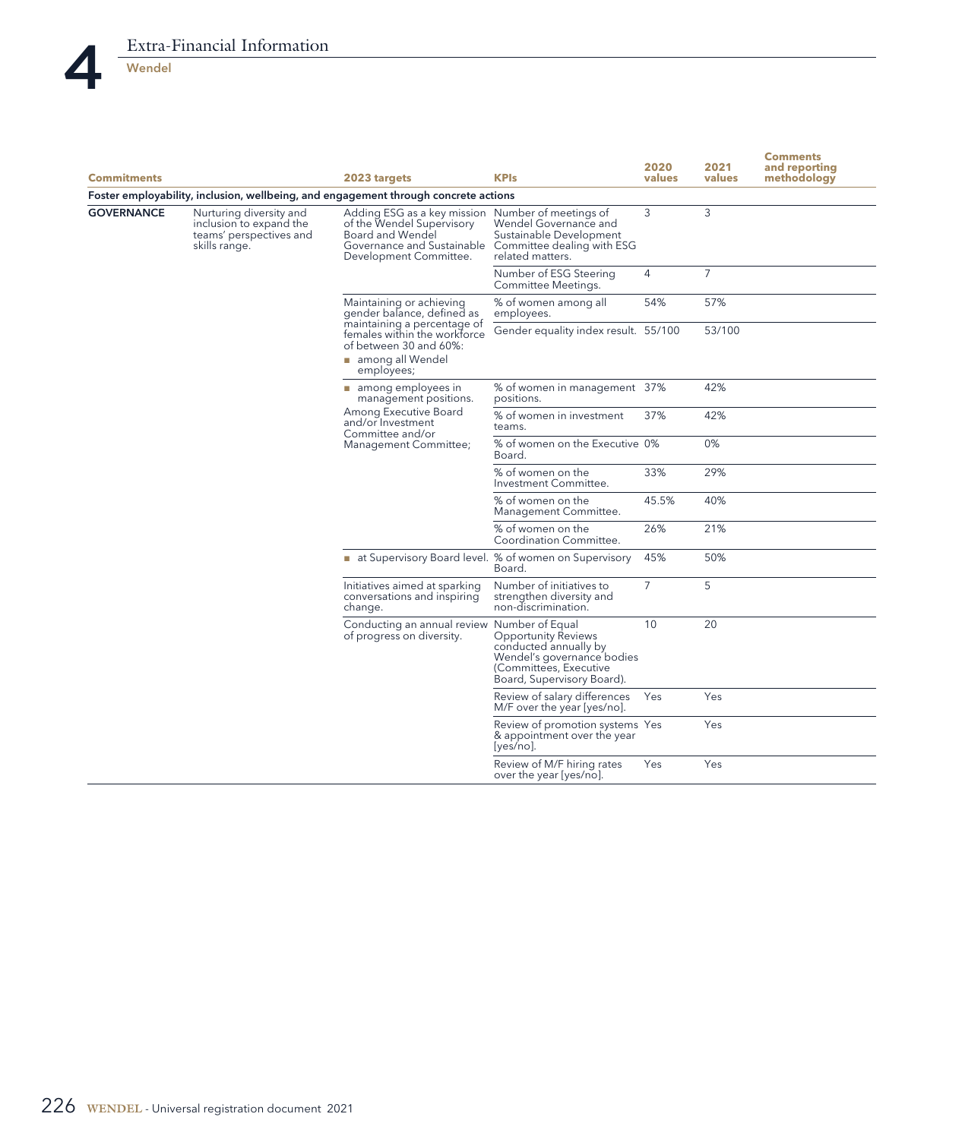

| <b>Commitments</b> |                                                                                                                                                                                                                                        | 2020<br>2021<br><b>KPIs</b><br>values<br>2023 targets                                                                                                 |                                                                                                                                                              | values | <b>Comments</b><br>and reporting<br>methodology |  |
|--------------------|----------------------------------------------------------------------------------------------------------------------------------------------------------------------------------------------------------------------------------------|-------------------------------------------------------------------------------------------------------------------------------------------------------|--------------------------------------------------------------------------------------------------------------------------------------------------------------|--------|-------------------------------------------------|--|
|                    |                                                                                                                                                                                                                                        | Foster employability, inclusion, wellbeing, and engagement through concrete actions                                                                   |                                                                                                                                                              |        |                                                 |  |
| <b>GOVERNANCE</b>  | Nurturing diversity and<br>Adding ESG as a key mission<br>of the Wendel Supervisory<br>inclusion to expand the<br>teams' perspectives and<br>Board and Wendel<br>Governance and Sustainable<br>skills range.<br>Development Committee. | Number of meetings of<br>Wendel Governance and<br>Sustainable Development<br>Committee dealing with ESG<br>related matters.                           | 3                                                                                                                                                            | 3      |                                                 |  |
|                    |                                                                                                                                                                                                                                        |                                                                                                                                                       | Number of ESG Steering<br>Committee Meetings.                                                                                                                | 4      | $\overline{7}$                                  |  |
|                    |                                                                                                                                                                                                                                        | Maintaining or achieving<br>gender balance, defined as<br>maintaining a percentage of<br>females within the workforce<br>of between 30 and 60%:       | % of women among all<br>employees.                                                                                                                           | 54%    | 57%                                             |  |
|                    |                                                                                                                                                                                                                                        |                                                                                                                                                       | Gender equality index result. 55/100                                                                                                                         |        | 53/100                                          |  |
|                    |                                                                                                                                                                                                                                        | among all Wendel<br>employees;                                                                                                                        |                                                                                                                                                              |        |                                                 |  |
|                    |                                                                                                                                                                                                                                        | $\blacksquare$ among employees in<br>management positions.<br>Among Executive Board<br>and/or Investment<br>Committee and/or<br>Management Committee; | % of women in management 37%<br>positions.                                                                                                                   |        | 42%                                             |  |
|                    |                                                                                                                                                                                                                                        |                                                                                                                                                       | % of women in investment<br>teams.                                                                                                                           | 37%    | 42%                                             |  |
|                    |                                                                                                                                                                                                                                        |                                                                                                                                                       | % of women on the Executive 0%<br>Board.                                                                                                                     |        | 0%                                              |  |
|                    |                                                                                                                                                                                                                                        |                                                                                                                                                       | % of women on the<br>Investment Committee.                                                                                                                   | 33%    | 29%                                             |  |
|                    |                                                                                                                                                                                                                                        |                                                                                                                                                       | % of women on the<br>Management Committee.                                                                                                                   | 45.5%  | 40%                                             |  |
|                    |                                                                                                                                                                                                                                        |                                                                                                                                                       | % of women on the<br>Coordination Committee.                                                                                                                 | 26%    | 21%                                             |  |
|                    |                                                                                                                                                                                                                                        | at Supervisory Board level. % of women on Supervisory                                                                                                 | Board.                                                                                                                                                       | 45%    | 50%                                             |  |
|                    |                                                                                                                                                                                                                                        | Initiatives aimed at sparking<br>conversations and inspiring<br>change.                                                                               | Number of initiatives to<br>strengthen diversity and<br>non-discrimination.                                                                                  | 7      | 5                                               |  |
|                    |                                                                                                                                                                                                                                        | Conducting an annual review<br>of progress on diversity.                                                                                              | Number of Equal<br><b>Opportunity Reviews</b><br>conducted annually by<br>Wendel's governance bodies<br>(Committees, Executive<br>Board, Supervisory Board). | 10     | 20                                              |  |
|                    |                                                                                                                                                                                                                                        |                                                                                                                                                       | Review of salary differences<br>M/F over the year [yes/no].                                                                                                  | Yes    | Yes                                             |  |
|                    |                                                                                                                                                                                                                                        |                                                                                                                                                       | Review of promotion systems Yes<br>& appointment over the year<br>$[yes/no]$ .                                                                               |        | Yes                                             |  |
|                    |                                                                                                                                                                                                                                        |                                                                                                                                                       | Review of M/F hiring rates<br>over the year [yes/no].                                                                                                        | Yes    | Yes                                             |  |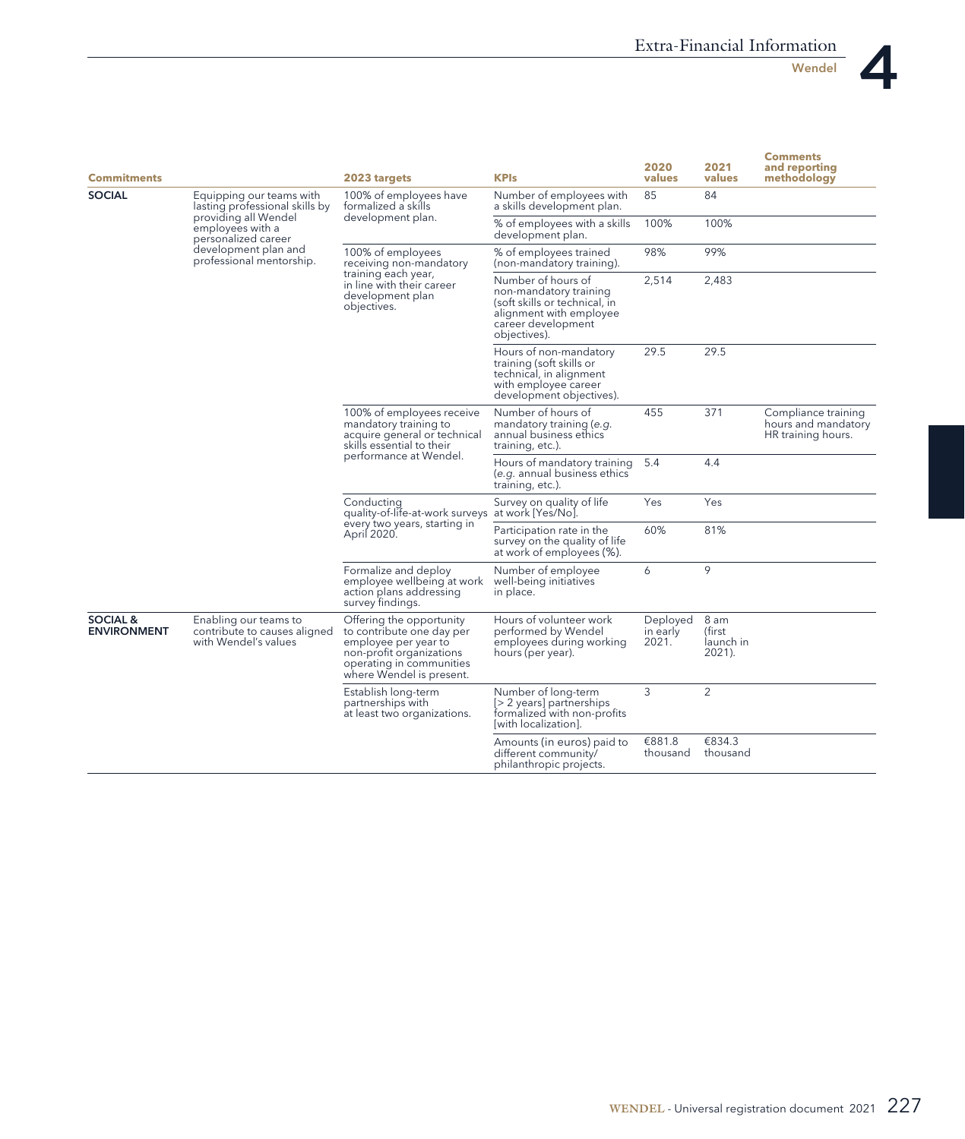

Wendel

| <b>Commitments</b>                        |                                                                               | 2023 targets                                                                                                                                                      | <b>KPIs</b>                                                                                                                                    | 2020<br>values                | 2021<br>values                        | <b>Comments</b><br>and reporting<br>methodoloav                  |
|-------------------------------------------|-------------------------------------------------------------------------------|-------------------------------------------------------------------------------------------------------------------------------------------------------------------|------------------------------------------------------------------------------------------------------------------------------------------------|-------------------------------|---------------------------------------|------------------------------------------------------------------|
| <b>SOCIAL</b>                             | Equipping our teams with<br>lasting professional skills by                    | 100% of employees have<br>formalized a skills                                                                                                                     | Number of employees with<br>a skills development plan.                                                                                         | 85                            | 84                                    |                                                                  |
|                                           | providing all Wendel<br>employees with a<br>personalized career               | development plan.                                                                                                                                                 | $\%$ of employees with a skills<br>development plan.                                                                                           | 100%                          | 100%                                  |                                                                  |
|                                           | development plan and<br>professional mentorship.                              | 100% of employees<br>receiving non-mandatory<br>training each year,<br>in line with their career<br>development plan<br>objectives.                               | % of employees trained<br>(non-mandatory training).                                                                                            | 98%                           | 99%                                   |                                                                  |
|                                           |                                                                               |                                                                                                                                                                   | Number of hours of<br>non-mandatory training<br>(soft skills or technical, in<br>alignment with employee<br>career development<br>objectives). | 2,514                         | 2,483                                 |                                                                  |
|                                           |                                                                               |                                                                                                                                                                   | Hours of non-mandatory<br>training (soft skills or<br>technical, in alignment<br>with employee career<br>development objectives).              | 29.5                          | 29.5                                  |                                                                  |
|                                           |                                                                               | 100% of employees receive<br>mandatory training to<br>acquire general or technical<br>skills essential to their<br>performance at Wendel.                         | Number of hours of<br>mandatory training (e.g.<br>annual business ethics<br>training, etc.).                                                   | 455                           | 371                                   | Compliance training<br>hours and mandatory<br>HR training hours. |
|                                           |                                                                               |                                                                                                                                                                   | Hours of mandatory training<br>(e.g. annual business ethics<br>training, etc.).                                                                | 5.4                           | 4.4                                   |                                                                  |
|                                           |                                                                               | Conductina<br>quality-of-life-at-work surveys<br>every two years, starting in<br>April 2020.                                                                      | Survey on quality of life<br>at work [Yes/No].                                                                                                 | Yes                           | Yes                                   |                                                                  |
|                                           |                                                                               |                                                                                                                                                                   | Participation rate in the<br>survey on the quality of life<br>at work of employees (%).                                                        | 60%                           | 81%                                   |                                                                  |
|                                           |                                                                               | Formalize and deploy<br>employee wellbeing at work<br>action plans addressing<br>survey findings.                                                                 | Number of employee<br>well-being initiatives<br>in place.                                                                                      | 6                             | 9                                     |                                                                  |
| <b>SOCIAL &amp;</b><br><b>ENVIRONMENT</b> | Enabling our teams to<br>contribute to causes aligned<br>with Wendel's values | Offering the opportunity<br>to contribute one day per<br>employee per year to<br>non-profit organizations<br>operating in communities<br>where Wendel is present. | Hours of volunteer work<br>performed by Wendel<br>employees during working<br>hours (per year).                                                | Deployed<br>in early<br>2021. | 8 am<br>(first<br>launch in<br>2021). |                                                                  |
|                                           |                                                                               | Establish long-term<br>partnerships with<br>at least two organizations.                                                                                           | Number of long-term<br>[> 2 years] partnerships<br>formalized with non-profits<br>[with localization].                                         | 3                             | $\overline{2}$                        |                                                                  |
|                                           |                                                                               |                                                                                                                                                                   | Amounts (in euros) paid to<br>different community/<br>philanthropic projects.                                                                  | €881.8<br>thousand            | €834.3<br>thousand                    |                                                                  |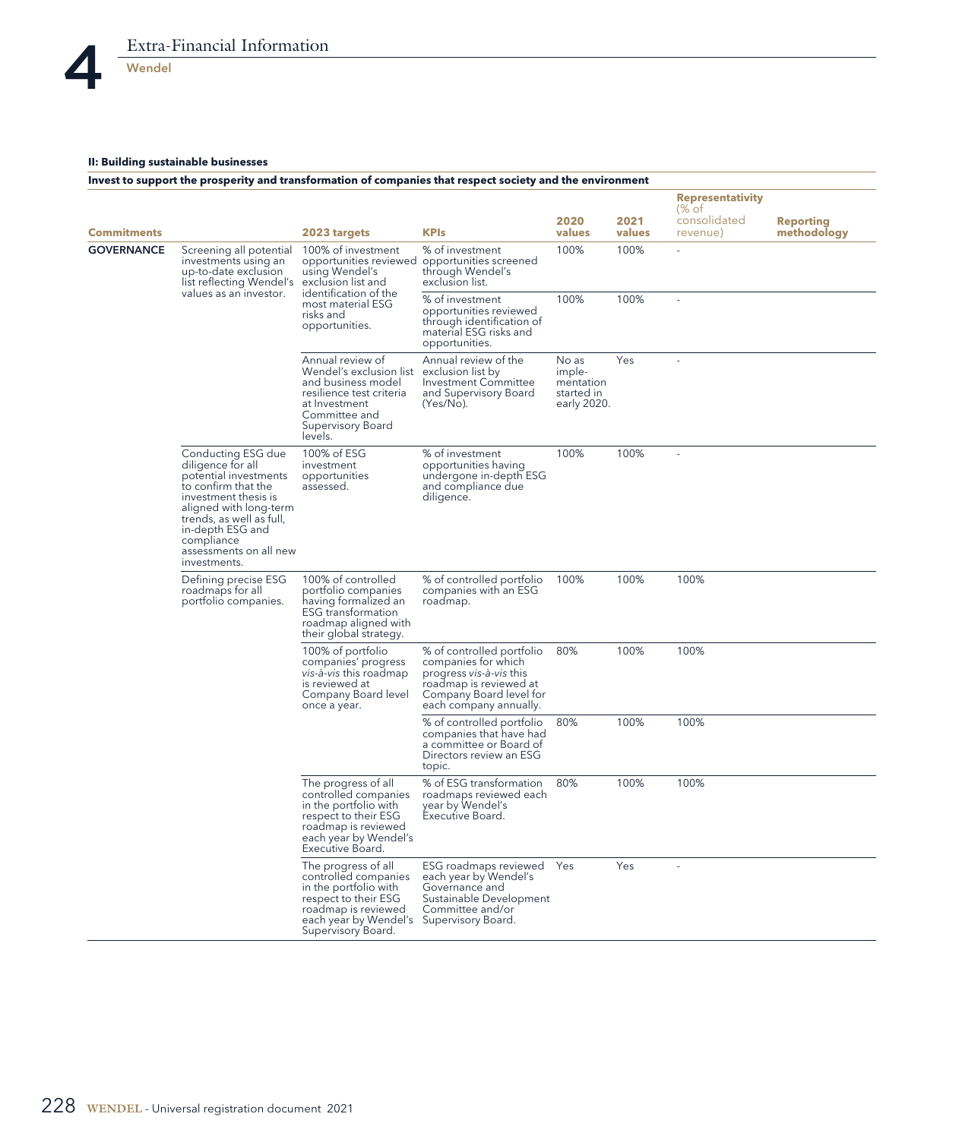## **II: Building sustainable businesses**

|                    |                                                                                                                                                                                                                                                   |                                                                                                                                                                                       | Invest to support the prosperity and transformation of companies that respect society and the environment                                                  |                                                           |                |                                                             |                                 |
|--------------------|---------------------------------------------------------------------------------------------------------------------------------------------------------------------------------------------------------------------------------------------------|---------------------------------------------------------------------------------------------------------------------------------------------------------------------------------------|------------------------------------------------------------------------------------------------------------------------------------------------------------|-----------------------------------------------------------|----------------|-------------------------------------------------------------|---------------------------------|
|                    |                                                                                                                                                                                                                                                   |                                                                                                                                                                                       |                                                                                                                                                            |                                                           |                | <b>Representativity</b><br>$\frac{9}{6}$ of<br>consolidated |                                 |
| <b>Commitments</b> |                                                                                                                                                                                                                                                   | 2023 targets                                                                                                                                                                          | <b>KPIs</b>                                                                                                                                                | 2020<br>values                                            | 2021<br>values | revenue)                                                    | <b>Reporting</b><br>methodology |
| <b>GOVERNANCE</b>  | Screening all potential<br>investments using an<br>up-to-date exclusion<br>list reflecting Wendel's                                                                                                                                               | 100% of investment<br>opportunities reviewed<br>using Wendel's<br>exclusion list and<br>identification of the<br>most material ESG<br>risks and<br>opportunities.                     | % of investment<br>opportunities screened<br>through Wendel's<br>exclusion list.                                                                           | 100%                                                      | 100%           | ä,                                                          |                                 |
|                    | values as an investor.                                                                                                                                                                                                                            |                                                                                                                                                                                       | % of investment<br>opportunities reviewed<br>through identification of<br>material ESG risks and<br>opportunities.                                         | 100%                                                      | 100%           | L,                                                          |                                 |
|                    |                                                                                                                                                                                                                                                   | Annual review of<br>Wendel's exclusion list<br>and business model<br>resilience test criteria<br>at Investment<br>Committee and<br>Supervisory Board<br>levels.                       | Annual review of the<br>exclusion list by<br>Investment Committee<br>and Supervisory Board<br>(Yes/No).                                                    | No as<br>imple-<br>mentation<br>started in<br>early 2020. | Yes            | L.                                                          |                                 |
|                    | Conducting ESG due<br>diligence for all<br>potential investments<br>to confirm that the<br>investment thesis is<br>aligned with long-term<br>trends, as well as full,<br>in-depth ESG and<br>compliance<br>assessments on all new<br>investments. | 100% of ESG<br>investment<br>opportunities<br>assessed.                                                                                                                               | % of investment<br>opportunities having<br>undergone in-depth ESG<br>and compliance due<br>diligence.                                                      | 100%                                                      | 100%           |                                                             |                                 |
|                    | Defining precise ESG<br>roadmaps for all<br>portfolio companies.                                                                                                                                                                                  | 100% of controlled<br>portfolio companies<br>having formalized an<br><b>ESG</b> transformation<br>roadmap aligned with<br>their global strategy.                                      | % of controlled portfolio<br>companies with an ESG<br>roadmap.                                                                                             | 100%                                                      | 100%           | 100%                                                        |                                 |
|                    |                                                                                                                                                                                                                                                   | 100% of portfolio<br>companies' progress<br>vis-à-vis this roadmap<br>is reviewed at<br>Company Board level<br>once a year.                                                           | % of controlled portfolio<br>companies for which<br>progress vis-à-vis this<br>roadmap is reviewed at<br>Company Board level for<br>each company annually. | 80%                                                       | 100%           | 100%                                                        |                                 |
|                    |                                                                                                                                                                                                                                                   |                                                                                                                                                                                       | % of controlled portfolio<br>companies that have had<br>a committee or Board of<br>Directors review an ESG<br>topic.                                       | 80%                                                       | 100%           | 100%                                                        |                                 |
|                    |                                                                                                                                                                                                                                                   | The progress of all<br>controlled companies<br>in the portfolio with<br>respect to their ESG<br>roadmap is reviewed<br>each year by Wendel's<br>Executive Board.                      | % of ESG transformation<br>roadmaps reviewed each<br>year by Wendel's<br>Executive Board.                                                                  | 80%                                                       | 100%           | 100%                                                        |                                 |
|                    |                                                                                                                                                                                                                                                   | The progress of all<br>controlled companies<br>in the portfolio with<br>respect to their ESG<br>roadmap is reviewed<br>each year by Wendel's Supervisory Board.<br>Supervisory Board. | ESG roadmaps reviewed<br>each year by Wendel's<br>Governance and<br>Sustainable Development<br>Committee and/or                                            | Yes                                                       | Yes            | $\overline{a}$                                              |                                 |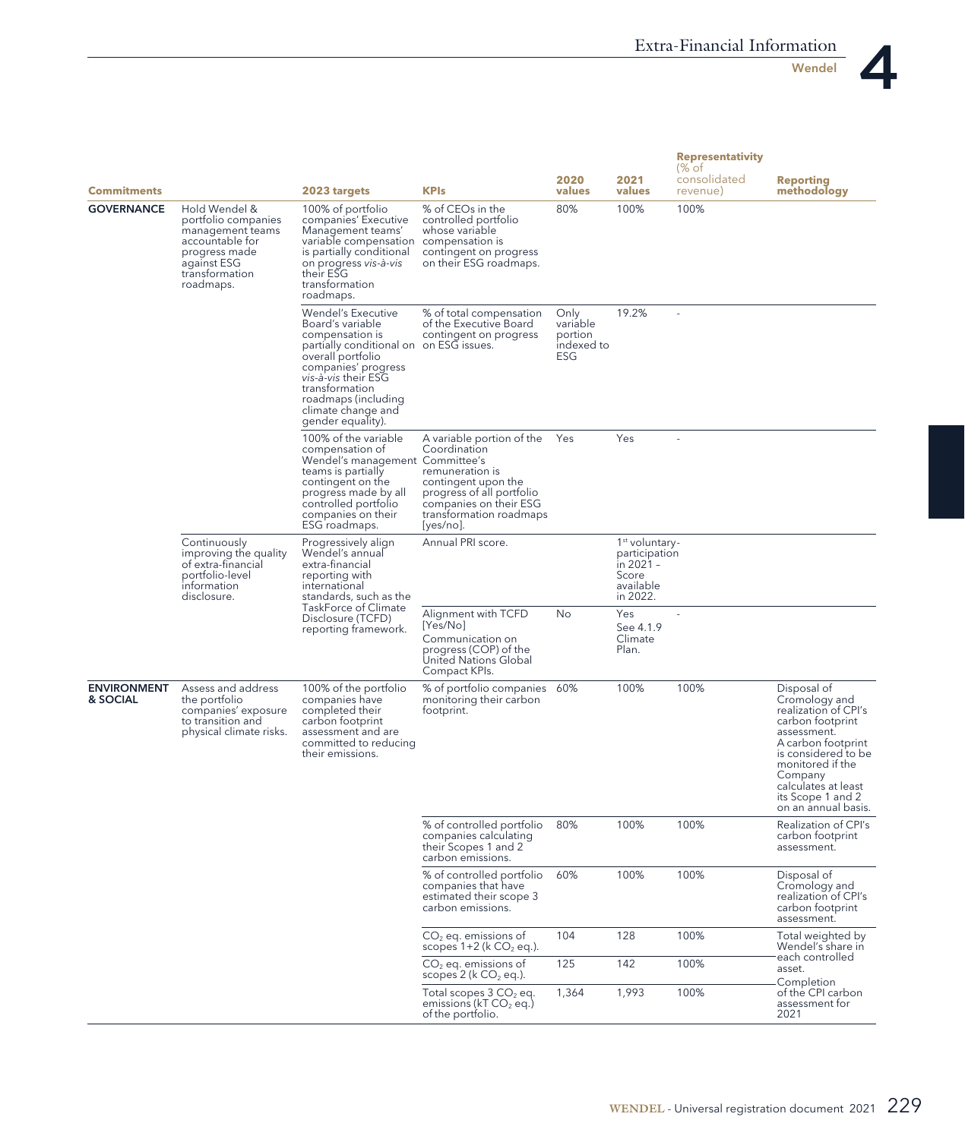

Wendel

| <b>Commitments</b>             |                                                                                                                                            | 2023 targets                                                                                                                                                                                                                                                | <b>KPIs</b>                                                                                                                                                                           | 2020<br>values                                   | 2021<br>values                                                                    | <b>Representativity</b><br>$%$ of<br>consolidated<br>revenue) | <b>Reporting</b><br>methodology                                                                                                                                                                                                        |
|--------------------------------|--------------------------------------------------------------------------------------------------------------------------------------------|-------------------------------------------------------------------------------------------------------------------------------------------------------------------------------------------------------------------------------------------------------------|---------------------------------------------------------------------------------------------------------------------------------------------------------------------------------------|--------------------------------------------------|-----------------------------------------------------------------------------------|---------------------------------------------------------------|----------------------------------------------------------------------------------------------------------------------------------------------------------------------------------------------------------------------------------------|
| <b>GOVERNANCE</b>              | Hold Wendel &<br>portfolio companies<br>management teams<br>accountable for<br>progress made<br>against ESG<br>transformation<br>roadmaps. | 100% of portfolio<br>companies' Executive<br>Management teams'<br>variable compensation compensation is<br>is partially conditional<br>on progress vis-à-vis<br>their ESG<br>transformation<br>roadmaps.                                                    | % of CEOs in the<br>controlled portfolio<br>whose variable<br>contingent on progress<br>on their ESG roadmaps.                                                                        | 80%                                              | 100%                                                                              | 100%                                                          |                                                                                                                                                                                                                                        |
|                                |                                                                                                                                            | Wendel's Executive<br>Board's variable<br>compensation is<br>partially conditional on on ESG issues.<br>overall portfolio<br>companies' progress<br>vis-à-vis their ESG<br>transformation<br>roadmaps (including<br>climate change and<br>gender equality). | % of total compensation<br>of the Executive Board<br>contingent on progress                                                                                                           | Only<br>variable<br>portion<br>indexed to<br>ESG | 19.2%                                                                             |                                                               |                                                                                                                                                                                                                                        |
|                                |                                                                                                                                            | 100% of the variable<br>compensation of<br>Wendel's management Committee's<br>teams is partially<br>contingent on the<br>progress made by all<br>controlled portfolio<br>companies on their<br>ESG roadmaps.                                                | A variable portion of the<br>Coordination<br>remuneration is<br>contingent upon the<br>progress of all portfolio<br>companies on their ESG<br>transformation roadmaps<br>$[yes/no]$ . | Yes                                              | Yes                                                                               |                                                               |                                                                                                                                                                                                                                        |
|                                | Continuously<br>improving the quality<br>of extra-financial<br>portfolio-level<br>information<br>disclosure.                               | Progressively align<br>Wendel's annual<br>extra-financial<br>reporting with<br>international<br>standards, such as the<br>TaskForce of Climate<br>Disclosure (TCFD)<br>reporting framework.                                                                 | Annual PRI score.                                                                                                                                                                     |                                                  | $1st$ voluntary -<br>participation<br>in 2021 -<br>Score<br>available<br>in 2022. |                                                               |                                                                                                                                                                                                                                        |
|                                |                                                                                                                                            |                                                                                                                                                                                                                                                             | Alignment with TCFD<br>[Yes/No]<br>Communication on<br>progress (COP) of the<br>United Nations Global<br>Compact KPIs.                                                                | No                                               | Yes<br>See 4.1.9<br>Climate<br>Plan.                                              |                                                               |                                                                                                                                                                                                                                        |
| <b>ENVIRONMENT</b><br>& SOCIAL | Assess and address<br>the portfolio<br>companies' exposure<br>to transition and<br>physical climate risks.                                 | 100% of the portfolio<br>companies have<br>completed their<br>carbon footprint<br>assessment and are<br>committed to reducing<br>their emissions.                                                                                                           | % of portfolio companies<br>monitoring their carbon<br>footprint.                                                                                                                     | 60%                                              | 100%                                                                              | 100%                                                          | Disposal of<br>Cromology and<br>realization of CPI's<br>carbon footprint<br>assessment.<br>A carbon footprint<br>is considered to be<br>monitored if the<br>Company<br>calculates at least<br>its Scope 1 and 2<br>on an annual basis. |
|                                |                                                                                                                                            |                                                                                                                                                                                                                                                             | % of controlled portfolio<br>companies calculating<br>their Scopes 1 and 2<br>carbon emissions.                                                                                       | 80%                                              | 100%                                                                              | 100%                                                          | Realization of CPI's<br>carbon footprint<br>assessment.                                                                                                                                                                                |
|                                |                                                                                                                                            |                                                                                                                                                                                                                                                             | % of controlled portfolio<br>companies that have<br>estimated their scope 3<br>carbon emissions.                                                                                      | 60%                                              | 100%                                                                              | 100%                                                          | Disposal of<br>Cromology and<br>realization of CPI's<br>carbon footprint<br>assessment.                                                                                                                                                |
|                                |                                                                                                                                            |                                                                                                                                                                                                                                                             | $CO2$ eq. emissions of<br>scopes $1+2$ (k $CO2$ eq.).                                                                                                                                 | 104                                              | 128                                                                               | 100%                                                          | Total weighted by<br>Wendel's share in                                                                                                                                                                                                 |
|                                |                                                                                                                                            |                                                                                                                                                                                                                                                             | $CO2$ eq. emissions of<br>scopes $2$ ( $k$ CO <sub>2</sub> eq.).                                                                                                                      | 125                                              | 142                                                                               | 100%                                                          | each controlled<br>asset.                                                                                                                                                                                                              |
|                                |                                                                                                                                            |                                                                                                                                                                                                                                                             | Total scopes 3 CO <sub>2</sub> eq.<br>emissions (kT CO <sub>2</sub> eq.)<br>of the portfolio.                                                                                         | 1,364                                            | 1,993                                                                             | 100%                                                          | Completion<br>of the CPI carbon<br>assessment for<br>2021                                                                                                                                                                              |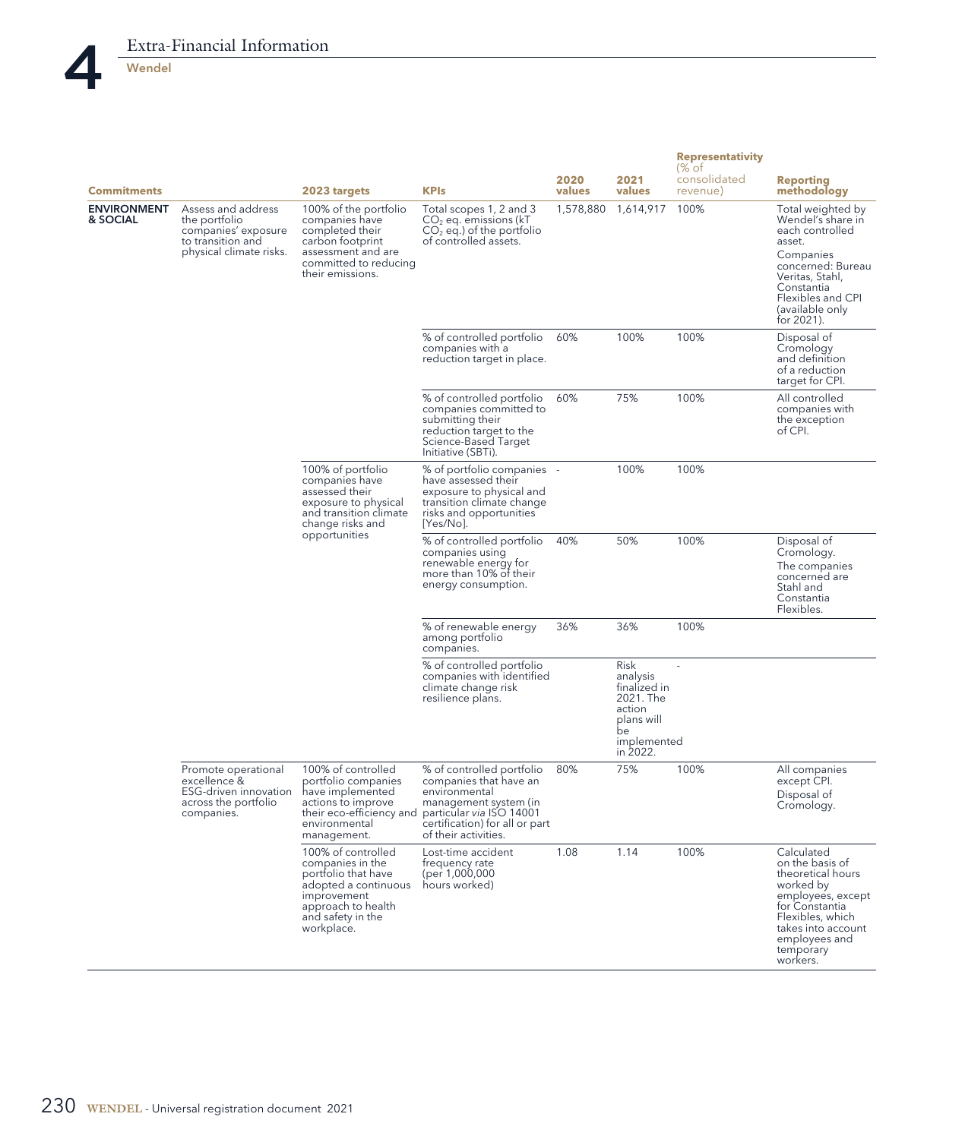

| <b>Commitments</b>             |                                                                                                            | 2023 targets                                                                                                                                                  | <b>KPIs</b>                                                                                                                                                                         | 2020<br>values | 2021<br>values                                                                             | <b>Representativity</b><br>(% of<br>consolidated<br>revenue) | <b>Reporting</b><br>methodology                                                                                                                                                              |
|--------------------------------|------------------------------------------------------------------------------------------------------------|---------------------------------------------------------------------------------------------------------------------------------------------------------------|-------------------------------------------------------------------------------------------------------------------------------------------------------------------------------------|----------------|--------------------------------------------------------------------------------------------|--------------------------------------------------------------|----------------------------------------------------------------------------------------------------------------------------------------------------------------------------------------------|
| <b>ENVIRONMENT</b><br>& SOCIAL | Assess and address<br>the portfolio<br>companies' exposure<br>to transition and<br>physical climate risks. | 100% of the portfolio<br>companies have<br>completed their<br>carbon footprint<br>assessment and are<br>committed to reducing<br>their emissions.             | Total scopes 1, 2 and 3<br>$CO2$ eq. emissions (kT<br>$CO2$ eq.) of the portfolio<br>of controlled assets.                                                                          | 1,578,880      | 1,614,917                                                                                  | 100%                                                         | Total weighted by<br>Wendel's share in<br>each controlled<br>asset.<br>Companies<br>concerned: Bureau<br>Veritas, Stahl,<br>Constantia<br>Flexibles and CPI<br>(available only<br>for 2021). |
|                                |                                                                                                            |                                                                                                                                                               | % of controlled portfolio<br>companies with a<br>reduction target in place.                                                                                                         | 60%            | 100%                                                                                       | 100%                                                         | Disposal of<br>Cromology<br>and definition<br>of a reduction<br>target for CPI.                                                                                                              |
|                                |                                                                                                            |                                                                                                                                                               | % of controlled portfolio<br>companies committed to<br>submitting their<br>reduction target to the<br>Science-Based Target<br>Initiative (SBTi).                                    | 60%            | 75%                                                                                        | 100%                                                         | All controlled<br>companies with<br>the exception<br>of CPI.                                                                                                                                 |
|                                |                                                                                                            | 100% of portfolio<br>companies have<br>assessed their<br>exposure to physical<br>and transition climate<br>change risks and<br>opportunities                  | % of portfolio companies -<br>have assessed their<br>exposure to physical and<br>transition climate change<br>risks and opportunities<br>$[Yes/No]$ .                               |                | 100%                                                                                       | 100%                                                         |                                                                                                                                                                                              |
|                                |                                                                                                            |                                                                                                                                                               | % of controlled portfolio<br>companies using<br>renewable energy for<br>more than 10% of their<br>energy consumption.                                                               | 40%            | 50%                                                                                        | 100%                                                         | Disposal of<br>Cromology.<br>The companies<br>concerned are<br>Stahl and<br>Constantia<br>Flexibles.                                                                                         |
|                                |                                                                                                            |                                                                                                                                                               | % of renewable energy<br>among portfolio<br>companies.                                                                                                                              | 36%            | 36%                                                                                        | 100%                                                         |                                                                                                                                                                                              |
|                                |                                                                                                            |                                                                                                                                                               | % of controlled portfolio<br>companies with identified<br>climate change risk<br>resilience plans.                                                                                  |                | Risk<br>analysis<br>finalized in<br>2021. The<br>action<br>plans will<br>be<br>implemented |                                                              |                                                                                                                                                                                              |
|                                | Promote operational<br>excellence &<br><b>ESG-driven innovation</b><br>across the portfolio<br>companies.  | 100% of controlled<br>portfolio companies<br>have implemented<br>actions to improve<br>their eco-efficiency and<br>environmental<br>management.               | % of controlled portfolio<br>companies that have an<br>environmental<br>management system (in<br>particular via ISO 14001<br>certification) for all or part<br>of their activities. | 80%            | in 2022.<br>75%                                                                            | 100%                                                         | All companies<br>except CPI.<br>Disposal of<br>Cromology.                                                                                                                                    |
|                                |                                                                                                            | 100% of controlled<br>companies in the<br>portfolio that have<br>adopted a continuous<br>improvement<br>approach to health<br>and safety in the<br>workplace. | Lost-time accident<br>frequency rate<br>(per 1,000,000<br>hours worked)                                                                                                             | 1.08           | 1.14                                                                                       | 100%                                                         | Calculated<br>on the basis of<br>theoretical hours<br>worked by<br>employees, except<br>for Constantia<br>Flexibles, which<br>takes into account<br>employees and<br>temporary<br>workers.   |